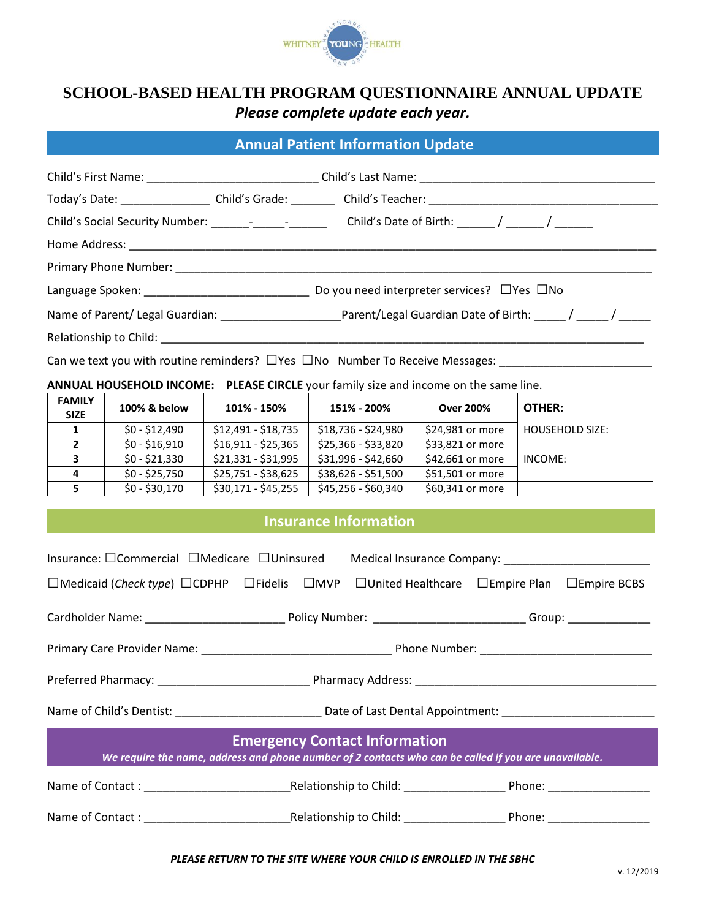

## **SCHOOL-BASED HEALTH PROGRAM QUESTIONNAIRE ANNUAL UPDATE** *Please complete update each year.*

## **Annual Patient Information Update**

| Today's Date: ____________________Child's Grade: ___________Child's Teacher: _________________________________ |
|----------------------------------------------------------------------------------------------------------------|
| Child's Social Security Number: _____________________________Child's Date of Birth: ______/ ______/ ________   |
|                                                                                                                |
|                                                                                                                |
| Do you need interpreter services? $\Box$ Yes $\Box$ No                                                         |
|                                                                                                                |
|                                                                                                                |

Can we text you with routine reminders? □Yes □No Number To Receive Messages: \_\_\_\_\_\_\_\_

**ANNUAL HOUSEHOLD INCOME: PLEASE CIRCLE** your family size and income on the same line.

| <b>FAMILY</b><br><b>SIZE</b> | 100% & below   | 101% - 150%         | 151% - 200%         | <b>Over 200%</b> | OTHER:                 |
|------------------------------|----------------|---------------------|---------------------|------------------|------------------------|
|                              | \$0 - \$12.490 | $$12,491 - $18,735$ | \$18,736 - \$24,980 | \$24,981 or more | <b>HOUSEHOLD SIZE:</b> |
|                              | $$0 - $16,910$ | $$16,911 - $25,365$ | \$25,366 - \$33,820 | \$33,821 or more |                        |
|                              | $$0 - $21,330$ | $$21,331 - $31,995$ | \$31,996 - \$42,660 | \$42,661 or more | INCOME:                |
|                              | $$0 - $25,750$ | \$25,751 - \$38,625 | $$38,626 - $51,500$ | \$51,501 or more |                        |
|                              | $$0 - $30,170$ | $$30,171 - $45,255$ | \$45,256 - \$60,340 | \$60,341 or more |                        |

## **Insurance Information**

|                                                                                                                                               |  | Insurance: OCommercial OMedicare OUninsured Medical Insurance Company: _____________________________ |  |  |  |
|-----------------------------------------------------------------------------------------------------------------------------------------------|--|------------------------------------------------------------------------------------------------------|--|--|--|
| $\Box$ Medicaid (Check type) $\Box$ CDPHP $\Box$ Fidelis $\Box$ MVP $\Box$ United Healthcare $\Box$ Empire Plan $\Box$ Empire BCBS            |  |                                                                                                      |  |  |  |
|                                                                                                                                               |  |                                                                                                      |  |  |  |
|                                                                                                                                               |  |                                                                                                      |  |  |  |
|                                                                                                                                               |  |                                                                                                      |  |  |  |
|                                                                                                                                               |  |                                                                                                      |  |  |  |
| <b>Emergency Contact Information</b><br>We require the name, address and phone number of 2 contacts who can be called if you are unavailable. |  |                                                                                                      |  |  |  |
|                                                                                                                                               |  |                                                                                                      |  |  |  |
|                                                                                                                                               |  |                                                                                                      |  |  |  |
|                                                                                                                                               |  |                                                                                                      |  |  |  |

## *PLEASE RETURN TO THE SITE WHERE YOUR CHILD IS ENROLLED IN THE SBHC*